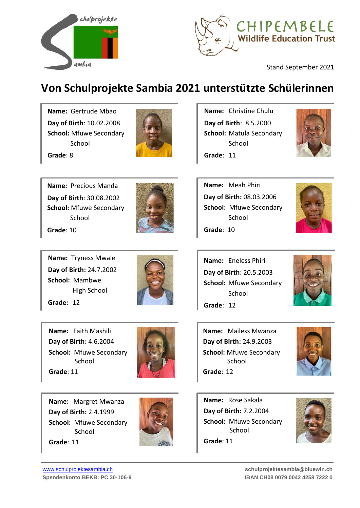



Stand September 2021

## **Von Schulprojekte Sambia 2021 unterstützte Schülerinnen**

**Name:** Gertrude Mbao **Day of Birth**: 10.02.2008 **School:** Mfuwe Secondary School



**Grade**: 8

**Name:** Precious Manda **Day of Birth**: 30.08.2002 **School:** Mfuwe Secondary School **Grade**: 10

**Name:** Tryness Mwale **Day of Birth:** 24.7.2002 **School:** Mambwe High School

**Grade:** 12



**Name:** Faith Mashili **Day of Birth:** 4.6.2004 **School:** Mfuwe Secondary **School Grade**: 11



**Name:** Margret Mwanza **Day of Birth:** 2.4.1999 **School:** Mfuwe Secondary School **Grade**: 11



**Name:** Christine Chulu **Day of Birth**: 8.5.2000 **School:** Matula Secondary School





**Name:** Meah Phiri **Day of Birth:** 08.03.2006 **School:** Mfuwe Secondary School **Grade**: 10



**Name:** Eneless Phiri **Day of Birth:** 20.5.2003 **School:** Mfuwe Secondary School **Grade**: 12



**Name:** Mailess Mwanza **Day of Birth:** 24.9.2003 **School:** Mfuwe Secondary School **Grade**: 12



**Name:** Rose Sakala **Day of Birth:** 7.2.2004 **School:** Mfuwe Secondary School **Grade**: 11

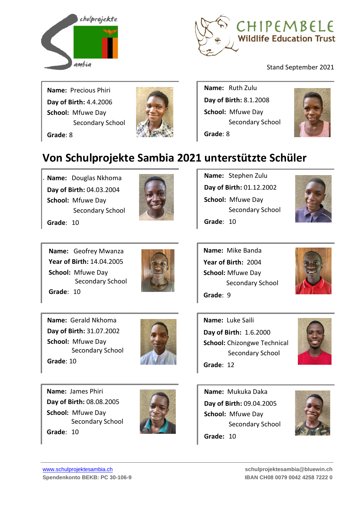



Stand September 2021

**Name:** Precious Phiri **Day of Birth:** 4.4.2006 **School:** Mfuwe Day Secondary School **Grade**: 8



**Name:** Ruth Zulu **Day of Birth:** 8.1.2008 **School:** Mfuwe Day Secondary School **Grade**: 8



## **Von Schulprojekte Sambia 2021 unterstützte Schüler**

**Name:** Douglas Nkhoma **Day of Birth:** 04.03.2004 **School:** Mfuwe Day Secondary School

**Grade**: 10

.



**Name:** Stephen Zulu **Day of Birth:** 01.12.2002 **School:** Mfuwe Day Secondary School **Grade**: 10

**Name:** Mike Banda **Year of Birth:** 2004 **School:** Mfuwe Day



**Name:** Geofrey Mwanza **Year of Birth:** 14.04.2005 **School:** Mfuwe Day Secondary School **Grade**: 10



**Name:** Gerald Nkhoma **Day of Birth:** 31.07.2002 **School:** Mfuwe Day Secondary School **Grade**: 10





Secondary School

**Grade**: 12

**Grade**: 9



**Name:** James Phiri **Day of Birth:** 08.08.2005 **School:** Mfuwe Day Secondary School **Grade**: 10



**Name:** Mukuka Daka **Day of Birth:** 09.04.2005 **School:** Mfuwe Day Secondary School **Grade:** 10